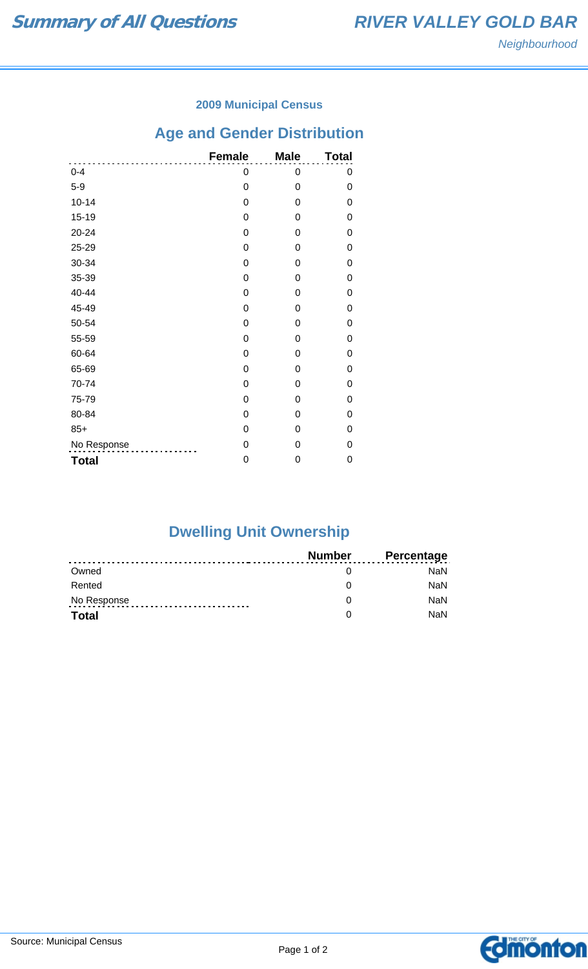### **2009 Municipal Census**

# **Age and Gender Distribution**

|              | <b>Female</b> | <b>Male</b> | <b>Total</b> |
|--------------|---------------|-------------|--------------|
| $0 - 4$      | 0             | 0           | 0            |
| $5-9$        | 0             | 0           | 0            |
| $10 - 14$    | 0             | 0           | 0            |
| $15 - 19$    | 0             | 0           | 0            |
| $20 - 24$    | 0             | 0           | 0            |
| 25-29        | 0             | 0           | 0            |
| 30-34        | 0             | 0           | 0            |
| 35-39        | 0             | 0           | 0            |
| 40-44        | 0             | 0           | 0            |
| 45-49        | 0             | 0           | 0            |
| 50-54        | 0             | 0           | 0            |
| 55-59        | 0             | 0           | 0            |
| 60-64        | 0             | 0           | 0            |
| 65-69        | 0             | 0           | 0            |
| 70-74        | 0             | 0           | 0            |
| 75-79        | 0             | 0           | 0            |
| 80-84        | 0             | 0           | 0            |
| $85+$        | 0             | 0           | 0            |
| No Response  | 0             | 0           | 0            |
| <b>Total</b> | 0             | 0           | 0            |

# **Dwelling Unit Ownership**

|              | Number | <b>Percentage</b> |
|--------------|--------|-------------------|
| Owned        |        | NaN.              |
| Rented       |        | <b>NaN</b>        |
| No Response  |        | <b>NaN</b>        |
| <b>Total</b> |        | <b>NaN</b>        |